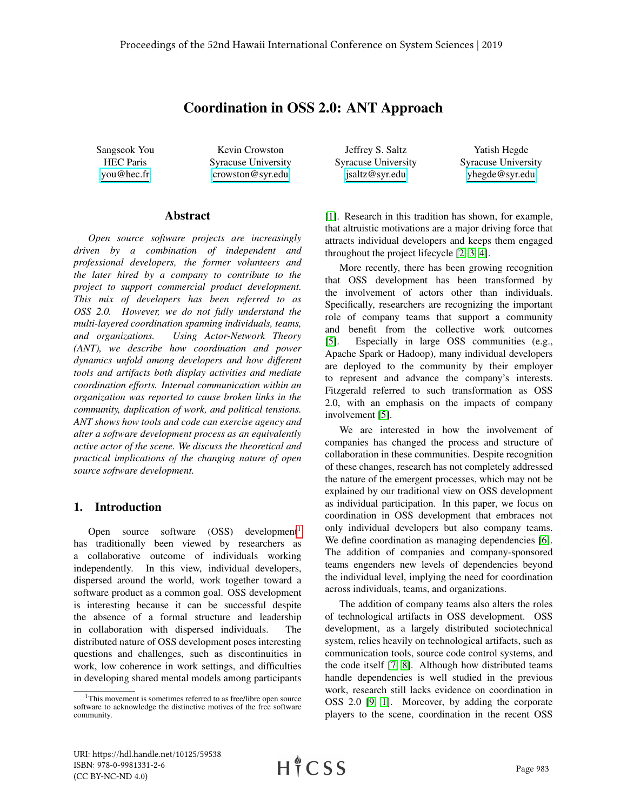# Coordination in OSS 2.0: ANT Approach

Sangseok You HEC Paris [you@hec.fr](mailto:you@hec.fr)

Kevin Crowston Syracuse University [crowston@syr.edu](mailto:crowston@syr.edu)

#### Abstract

*Open source software projects are increasingly driven by a combination of independent and professional developers, the former volunteers and the later hired by a company to contribute to the project to support commercial product development. This mix of developers has been referred to as OSS 2.0. However, we do not fully understand the multi-layered coordination spanning individuals, teams, and organizations. Using Actor-Network Theory (ANT), we describe how coordination and power dynamics unfold among developers and how different tools and artifacts both display activities and mediate coordination efforts. Internal communication within an organization was reported to cause broken links in the community, duplication of work, and political tensions. ANT shows how tools and code can exercise agency and alter a software development process as an equivalently active actor of the scene. We discuss the theoretical and practical implications of the changing nature of open source software development.*

# 1. Introduction

Open source software  $(OSS)$  development<sup>[1](#page-0-0)</sup> has traditionally been viewed by researchers as a collaborative outcome of individuals working independently. In this view, individual developers, dispersed around the world, work together toward a software product as a common goal. OSS development is interesting because it can be successful despite the absence of a formal structure and leadership in collaboration with dispersed individuals. The distributed nature of OSS development poses interesting questions and challenges, such as discontinuities in work, low coherence in work settings, and difficulties in developing shared mental models among participants

Jeffrey S. Saltz Syracuse University [jsaltz@syr.edu](mailto:jsaltz@syr.edu)

Yatish Hegde Syracuse University [yhegde@syr.edu](mailto:yhegde@syr.edu)

[\[1\]](#page-9-0). Research in this tradition has shown, for example, that altruistic motivations are a major driving force that attracts individual developers and keeps them engaged throughout the project lifecycle [\[2,](#page-9-1) [3,](#page-9-2) [4\]](#page-9-3).

More recently, there has been growing recognition that OSS development has been transformed by the involvement of actors other than individuals. Specifically, researchers are recognizing the important role of company teams that support a community and benefit from the collective work outcomes [\[5\]](#page-9-4). Especially in large OSS communities (e.g., Apache Spark or Hadoop), many individual developers are deployed to the community by their employer to represent and advance the company's interests. Fitzgerald referred to such transformation as OSS 2.0, with an emphasis on the impacts of company involvement [\[5\]](#page-9-4).

We are interested in how the involvement of companies has changed the process and structure of collaboration in these communities. Despite recognition of these changes, research has not completely addressed the nature of the emergent processes, which may not be explained by our traditional view on OSS development as individual participation. In this paper, we focus on coordination in OSS development that embraces not only individual developers but also company teams. We define coordination as managing dependencies [\[6\]](#page-9-5). The addition of companies and company-sponsored teams engenders new levels of dependencies beyond the individual level, implying the need for coordination across individuals, teams, and organizations.

The addition of company teams also alters the roles of technological artifacts in OSS development. OSS development, as a largely distributed sociotechnical system, relies heavily on technological artifacts, such as communication tools, source code control systems, and the code itself [\[7,](#page-9-6) [8\]](#page-9-7). Although how distributed teams handle dependencies is well studied in the previous work, research still lacks evidence on coordination in OSS 2.0 [\[9,](#page-9-8) [1\]](#page-9-0). Moreover, by adding the corporate players to the scene, coordination in the recent OSS

<span id="page-0-0"></span><sup>&</sup>lt;sup>1</sup>This movement is sometimes referred to as free/libre open source software to acknowledge the distinctive motives of the free software community.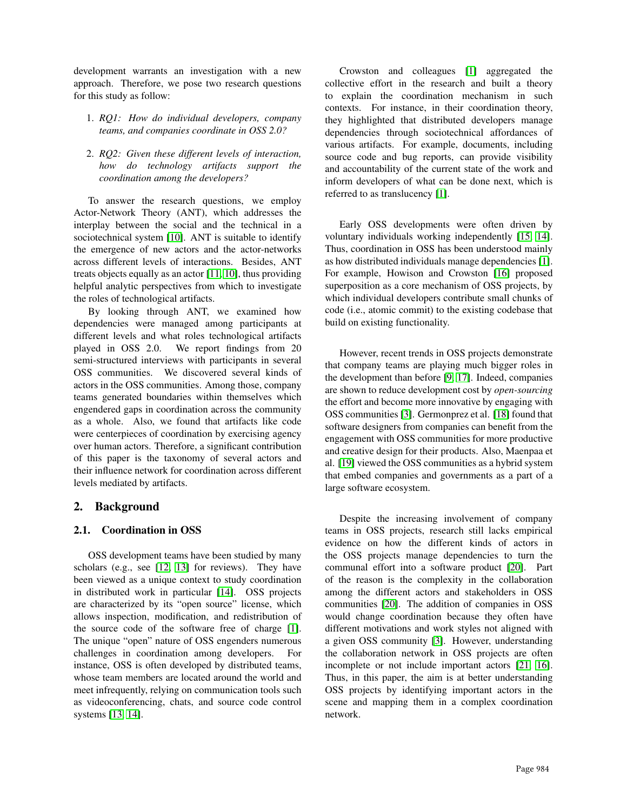development warrants an investigation with a new approach. Therefore, we pose two research questions for this study as follow:

- 1. *RQ1: How do individual developers, company teams, and companies coordinate in OSS 2.0?*
- 2. *RQ2: Given these different levels of interaction, how do technology artifacts support the coordination among the developers?*

To answer the research questions, we employ Actor-Network Theory (ANT), which addresses the interplay between the social and the technical in a sociotechnical system [\[10\]](#page-9-9). ANT is suitable to identify the emergence of new actors and the actor-networks across different levels of interactions. Besides, ANT treats objects equally as an actor [\[11,](#page-9-10) [10\]](#page-9-9), thus providing helpful analytic perspectives from which to investigate the roles of technological artifacts.

By looking through ANT, we examined how dependencies were managed among participants at different levels and what roles technological artifacts played in OSS 2.0. We report findings from 20 semi-structured interviews with participants in several OSS communities. We discovered several kinds of actors in the OSS communities. Among those, company teams generated boundaries within themselves which engendered gaps in coordination across the community as a whole. Also, we found that artifacts like code were centerpieces of coordination by exercising agency over human actors. Therefore, a significant contribution of this paper is the taxonomy of several actors and their influence network for coordination across different levels mediated by artifacts.

# 2. Background

## 2.1. Coordination in OSS

OSS development teams have been studied by many scholars (e.g., see [\[12,](#page-9-11) [13\]](#page-9-12) for reviews). They have been viewed as a unique context to study coordination in distributed work in particular [\[14\]](#page-9-13). OSS projects are characterized by its "open source" license, which allows inspection, modification, and redistribution of the source code of the software free of charge [\[1\]](#page-9-0). The unique "open" nature of OSS engenders numerous challenges in coordination among developers. For instance, OSS is often developed by distributed teams, whose team members are located around the world and meet infrequently, relying on communication tools such as videoconferencing, chats, and source code control systems [\[13,](#page-9-12) [14\]](#page-9-13).

Crowston and colleagues [\[1\]](#page-9-0) aggregated the collective effort in the research and built a theory to explain the coordination mechanism in such contexts. For instance, in their coordination theory, they highlighted that distributed developers manage dependencies through sociotechnical affordances of various artifacts. For example, documents, including source code and bug reports, can provide visibility and accountability of the current state of the work and inform developers of what can be done next, which is referred to as translucency [\[1\]](#page-9-0).

Early OSS developments were often driven by voluntary individuals working independently [\[15,](#page-9-14) [14\]](#page-9-13). Thus, coordination in OSS has been understood mainly as how distributed individuals manage dependencies [\[1\]](#page-9-0). For example, Howison and Crowston [\[16\]](#page-9-15) proposed superposition as a core mechanism of OSS projects, by which individual developers contribute small chunks of code (i.e., atomic commit) to the existing codebase that build on existing functionality.

However, recent trends in OSS projects demonstrate that company teams are playing much bigger roles in the development than before [\[9,](#page-9-8) [17\]](#page-9-16). Indeed, companies are shown to reduce development cost by *open-sourcing* the effort and become more innovative by engaging with OSS communities [\[3\]](#page-9-2). Germonprez et al. [\[18\]](#page-9-17) found that software designers from companies can benefit from the engagement with OSS communities for more productive and creative design for their products. Also, Maenpaa et al. [\[19\]](#page-9-18) viewed the OSS communities as a hybrid system that embed companies and governments as a part of a large software ecosystem.

Despite the increasing involvement of company teams in OSS projects, research still lacks empirical evidence on how the different kinds of actors in the OSS projects manage dependencies to turn the communal effort into a software product [\[20\]](#page-9-19). Part of the reason is the complexity in the collaboration among the different actors and stakeholders in OSS communities [\[20\]](#page-9-19). The addition of companies in OSS would change coordination because they often have different motivations and work styles not aligned with a given OSS community [\[3\]](#page-9-2). However, understanding the collaboration network in OSS projects are often incomplete or not include important actors [\[21,](#page-9-20) [16\]](#page-9-15). Thus, in this paper, the aim is at better understanding OSS projects by identifying important actors in the scene and mapping them in a complex coordination network.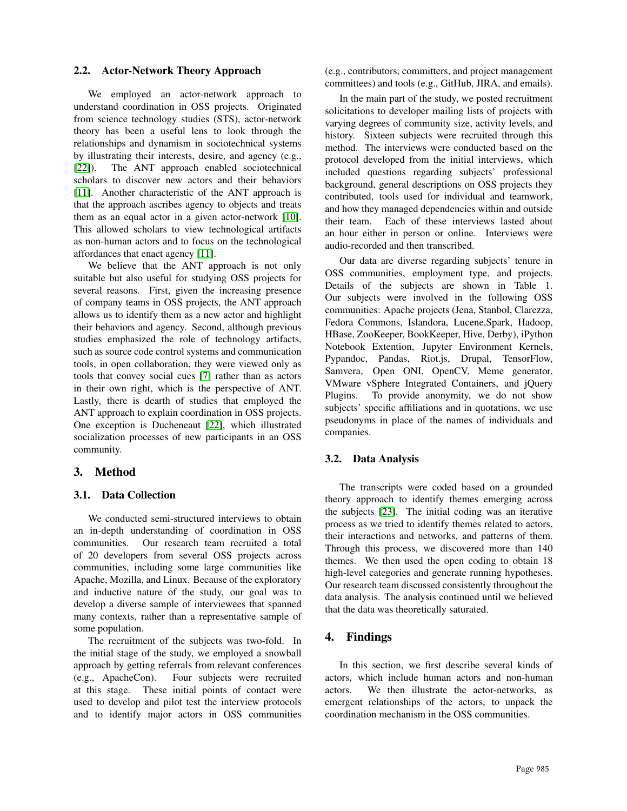#### 2.2. Actor-Network Theory Approach

We employed an actor-network approach to understand coordination in OSS projects. Originated from science technology studies (STS), actor-network theory has been a useful lens to look through the relationships and dynamism in sociotechnical systems by illustrating their interests, desire, and agency (e.g., [\[22\]](#page-9-21)). The ANT approach enabled sociotechnical scholars to discover new actors and their behaviors [\[11\]](#page-9-10). Another characteristic of the ANT approach is that the approach ascribes agency to objects and treats them as an equal actor in a given actor-network [\[10\]](#page-9-9). This allowed scholars to view technological artifacts as non-human actors and to focus on the technological affordances that enact agency [\[11\]](#page-9-10).

We believe that the ANT approach is not only suitable but also useful for studying OSS projects for several reasons. First, given the increasing presence of company teams in OSS projects, the ANT approach allows us to identify them as a new actor and highlight their behaviors and agency. Second, although previous studies emphasized the role of technology artifacts, such as source code control systems and communication tools, in open collaboration, they were viewed only as tools that convey social cues [\[7\]](#page-9-6) rather than as actors in their own right, which is the perspective of ANT. Lastly, there is dearth of studies that employed the ANT approach to explain coordination in OSS projects. One exception is Ducheneaut [\[22\]](#page-9-21), which illustrated socialization processes of new participants in an OSS community.

# 3. Method

### 3.1. Data Collection

We conducted semi-structured interviews to obtain an in-depth understanding of coordination in OSS communities. Our research team recruited a total of 20 developers from several OSS projects across communities, including some large communities like Apache, Mozilla, and Linux. Because of the exploratory and inductive nature of the study, our goal was to develop a diverse sample of interviewees that spanned many contexts, rather than a representative sample of some population.

The recruitment of the subjects was two-fold. In the initial stage of the study, we employed a snowball approach by getting referrals from relevant conferences (e.g., ApacheCon). Four subjects were recruited at this stage. These initial points of contact were used to develop and pilot test the interview protocols and to identify major actors in OSS communities

(e.g., contributors, committers, and project management committees) and tools (e.g., GitHub, JIRA, and emails).

In the main part of the study, we posted recruitment solicitations to developer mailing lists of projects with varying degrees of community size, activity levels, and history. Sixteen subjects were recruited through this method. The interviews were conducted based on the protocol developed from the initial interviews, which included questions regarding subjects' professional background, general descriptions on OSS projects they contributed, tools used for individual and teamwork, and how they managed dependencies within and outside their team. Each of these interviews lasted about an hour either in person or online. Interviews were audio-recorded and then transcribed.

Our data are diverse regarding subjects' tenure in OSS communities, employment type, and projects. Details of the subjects are shown in Table 1. Our subjects were involved in the following OSS communities: Apache projects (Jena, Stanbol, Clarezza, Fedora Commons, Islandora, Lucene,Spark, Hadoop, HBase, ZooKeeper, BookKeeper, Hive, Derby), iPython Notebook Extention, Jupyter Environment Kernels, Pypandoc, Pandas, Riot.js, Drupal, TensorFlow, Samvera, Open ONI, OpenCV, Meme generator, VMware vSphere Integrated Containers, and jQuery Plugins. To provide anonymity, we do not show subjects' specific affiliations and in quotations, we use pseudonyms in place of the names of individuals and companies.

#### 3.2. Data Analysis

The transcripts were coded based on a grounded theory approach to identify themes emerging across the subjects [\[23\]](#page-9-22). The initial coding was an iterative process as we tried to identify themes related to actors, their interactions and networks, and patterns of them. Through this process, we discovered more than 140 themes. We then used the open coding to obtain 18 high-level categories and generate running hypotheses. Our research team discussed consistently throughout the data analysis. The analysis continued until we believed that the data was theoretically saturated.

## 4. Findings

In this section, we first describe several kinds of actors, which include human actors and non-human actors. We then illustrate the actor-networks, as emergent relationships of the actors, to unpack the coordination mechanism in the OSS communities.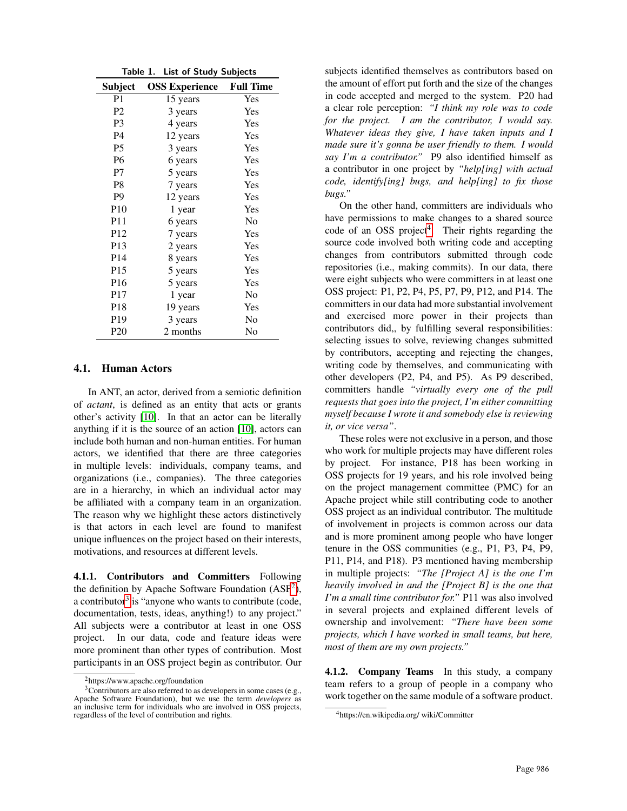| Table 1.<br><b>List of Study Subjects</b> |                       |                  |
|-------------------------------------------|-----------------------|------------------|
| Subject                                   | <b>OSS Experience</b> | <b>Full Time</b> |
| P <sub>1</sub>                            | 15 years              | Yes              |
| P <sub>2</sub>                            | 3 years               | Yes              |
| P3                                        | 4 years               | Yes              |
| <b>P4</b>                                 | 12 years              | Yes              |
| <b>P5</b>                                 | 3 years               | Yes              |
| P <sub>6</sub>                            | 6 years               | Yes              |
| P7                                        | 5 years               | Yes              |
| P <sub>8</sub>                            | 7 years               | Yes              |
| P9                                        | 12 years              | Yes              |
| P <sub>10</sub>                           | 1 year                | Yes              |
| <b>P11</b>                                | 6 years               | No               |
| P <sub>12</sub>                           | 7 years               | Yes              |
| P <sub>13</sub>                           | 2 years               | Yes              |
| P <sub>14</sub>                           | 8 years               | Yes              |
| P <sub>15</sub>                           | 5 years               | Yes              |
| P <sub>16</sub>                           | 5 years               | Yes              |
| P <sub>17</sub>                           | 1 year                | No               |
| P <sub>18</sub>                           | 19 years              | Yes              |
| P <sub>19</sub>                           | 3 years               | No               |
| P <sub>20</sub>                           | 2 months              | No               |

#### 4.1. Human Actors

In ANT, an actor, derived from a semiotic definition of *actant*, is defined as an entity that acts or grants other's activity [\[10\]](#page-9-9). In that an actor can be literally anything if it is the source of an action [\[10\]](#page-9-9), actors can include both human and non-human entities. For human actors, we identified that there are three categories in multiple levels: individuals, company teams, and organizations (i.e., companies). The three categories are in a hierarchy, in which an individual actor may be affiliated with a company team in an organization. The reason why we highlight these actors distinctively is that actors in each level are found to manifest unique influences on the project based on their interests, motivations, and resources at different levels.

4.1.1. Contributors and Committers Following the definition by Apache Software Foundation (ASF<sup>[2](#page-3-0)</sup>), a contributor<sup>[3](#page-3-1)</sup> is "anyone who wants to contribute (code, documentation, tests, ideas, anything!) to any project." All subjects were a contributor at least in one OSS project. In our data, code and feature ideas were more prominent than other types of contribution. Most participants in an OSS project begin as contributor. Our

subjects identified themselves as contributors based on the amount of effort put forth and the size of the changes in code accepted and merged to the system. P20 had a clear role perception: *"I think my role was to code for the project. I am the contributor, I would say. Whatever ideas they give, I have taken inputs and I made sure it's gonna be user friendly to them. I would say I'm a contributor."* P9 also identified himself as a contributor in one project by *"help[ing] with actual code, identify[ing] bugs, and help[ing] to fix those bugs."*

On the other hand, committers are individuals who have permissions to make changes to a shared source code of an OSS project<sup>[4](#page-3-2)</sup>. Their rights regarding the source code involved both writing code and accepting changes from contributors submitted through code repositories (i.e., making commits). In our data, there were eight subjects who were committers in at least one OSS project: P1, P2, P4, P5, P7, P9, P12, and P14. The committers in our data had more substantial involvement and exercised more power in their projects than contributors did,, by fulfilling several responsibilities: selecting issues to solve, reviewing changes submitted by contributors, accepting and rejecting the changes, writing code by themselves, and communicating with other developers (P2, P4, and P5). As P9 described, committers handle *"virtually every one of the pull requests that goes into the project, I'm either committing myself because I wrote it and somebody else is reviewing it, or vice versa"*.

These roles were not exclusive in a person, and those who work for multiple projects may have different roles by project. For instance, P18 has been working in OSS projects for 19 years, and his role involved being on the project management committee (PMC) for an Apache project while still contributing code to another OSS project as an individual contributor. The multitude of involvement in projects is common across our data and is more prominent among people who have longer tenure in the OSS communities (e.g., P1, P3, P4, P9, P11, P14, and P18). P3 mentioned having membership in multiple projects: *"The [Project A] is the one I'm heavily involved in and the [Project B] is the one that I'm a small time contributor for."* P11 was also involved in several projects and explained different levels of ownership and involvement: *"There have been some projects, which I have worked in small teams, but here, most of them are my own projects."*

4.1.2. Company Teams In this study, a company team refers to a group of people in a company who work together on the same module of a software product.

<span id="page-3-1"></span><span id="page-3-0"></span><sup>2</sup>https://www.apache.org/foundation

<sup>3</sup>Contributors are also referred to as developers in some cases (e.g., Apache Software Foundation), but we use the term *developers* as an inclusive term for individuals who are involved in OSS projects, regardless of the level of contribution and rights.

<span id="page-3-2"></span><sup>4</sup>https://en.wikipedia.org/ wiki/Committer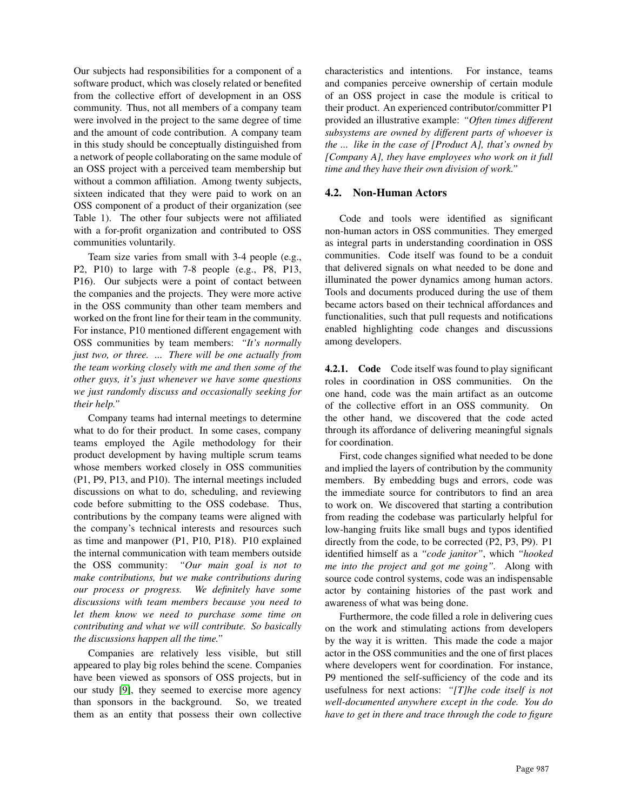Our subjects had responsibilities for a component of a software product, which was closely related or benefited from the collective effort of development in an OSS community. Thus, not all members of a company team were involved in the project to the same degree of time and the amount of code contribution. A company team in this study should be conceptually distinguished from a network of people collaborating on the same module of an OSS project with a perceived team membership but without a common affiliation. Among twenty subjects, sixteen indicated that they were paid to work on an OSS component of a product of their organization (see Table 1). The other four subjects were not affiliated with a for-profit organization and contributed to OSS communities voluntarily.

Team size varies from small with 3-4 people (e.g., P2, P10) to large with 7-8 people (e.g., P8, P13, P16). Our subjects were a point of contact between the companies and the projects. They were more active in the OSS community than other team members and worked on the front line for their team in the community. For instance, P10 mentioned different engagement with OSS communities by team members: *"It's normally just two, or three. ... There will be one actually from the team working closely with me and then some of the other guys, it's just whenever we have some questions we just randomly discuss and occasionally seeking for their help."*

Company teams had internal meetings to determine what to do for their product. In some cases, company teams employed the Agile methodology for their product development by having multiple scrum teams whose members worked closely in OSS communities (P1, P9, P13, and P10). The internal meetings included discussions on what to do, scheduling, and reviewing code before submitting to the OSS codebase. Thus, contributions by the company teams were aligned with the company's technical interests and resources such as time and manpower (P1, P10, P18). P10 explained the internal communication with team members outside the OSS community: *"Our main goal is not to make contributions, but we make contributions during our process or progress. We definitely have some discussions with team members because you need to let them know we need to purchase some time on contributing and what we will contribute. So basically the discussions happen all the time."*

Companies are relatively less visible, but still appeared to play big roles behind the scene. Companies have been viewed as sponsors of OSS projects, but in our study [\[9\]](#page-9-8), they seemed to exercise more agency than sponsors in the background. So, we treated them as an entity that possess their own collective

characteristics and intentions. For instance, teams and companies perceive ownership of certain module of an OSS project in case the module is critical to their product. An experienced contributor/committer P1 provided an illustrative example: *"Often times different subsystems are owned by different parts of whoever is the ... like in the case of [Product A], that's owned by [Company A], they have employees who work on it full time and they have their own division of work."*

## 4.2. Non-Human Actors

Code and tools were identified as significant non-human actors in OSS communities. They emerged as integral parts in understanding coordination in OSS communities. Code itself was found to be a conduit that delivered signals on what needed to be done and illuminated the power dynamics among human actors. Tools and documents produced during the use of them became actors based on their technical affordances and functionalities, such that pull requests and notifications enabled highlighting code changes and discussions among developers.

4.2.1. Code Code itself was found to play significant roles in coordination in OSS communities. On the one hand, code was the main artifact as an outcome of the collective effort in an OSS community. On the other hand, we discovered that the code acted through its affordance of delivering meaningful signals for coordination.

First, code changes signified what needed to be done and implied the layers of contribution by the community members. By embedding bugs and errors, code was the immediate source for contributors to find an area to work on. We discovered that starting a contribution from reading the codebase was particularly helpful for low-hanging fruits like small bugs and typos identified directly from the code, to be corrected (P2, P3, P9). P1 identified himself as a *"code janitor"*, which *"hooked me into the project and got me going".* Along with source code control systems, code was an indispensable actor by containing histories of the past work and awareness of what was being done.

Furthermore, the code filled a role in delivering cues on the work and stimulating actions from developers by the way it is written. This made the code a major actor in the OSS communities and the one of first places where developers went for coordination. For instance, P9 mentioned the self-sufficiency of the code and its usefulness for next actions: *"[T]he code itself is not well-documented anywhere except in the code. You do have to get in there and trace through the code to figure*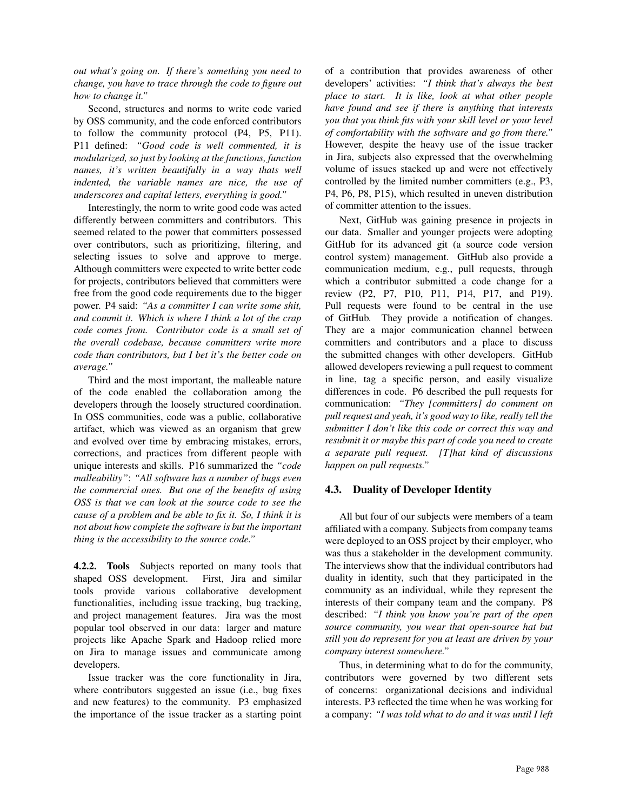*out what's going on. If there's something you need to change, you have to trace through the code to figure out how to change it."*

Second, structures and norms to write code varied by OSS community, and the code enforced contributors to follow the community protocol (P4, P5, P11). P11 defined: *"Good code is well commented, it is modularized, so just by looking at the functions, function names, it's written beautifully in a way thats well indented, the variable names are nice, the use of underscores and capital letters, everything is good."*

Interestingly, the norm to write good code was acted differently between committers and contributors. This seemed related to the power that committers possessed over contributors, such as prioritizing, filtering, and selecting issues to solve and approve to merge. Although committers were expected to write better code for projects, contributors believed that committers were free from the good code requirements due to the bigger power. P4 said: *"As a committer I can write some shit, and commit it. Which is where I think a lot of the crap code comes from. Contributor code is a small set of the overall codebase, because committers write more code than contributors, but I bet it's the better code on average."*

Third and the most important, the malleable nature of the code enabled the collaboration among the developers through the loosely structured coordination. In OSS communities, code was a public, collaborative artifact, which was viewed as an organism that grew and evolved over time by embracing mistakes, errors, corrections, and practices from different people with unique interests and skills. P16 summarized the *"code malleability"*: *"All software has a number of bugs even the commercial ones. But one of the benefits of using OSS is that we can look at the source code to see the cause of a problem and be able to fix it. So, I think it is not about how complete the software is but the important thing is the accessibility to the source code."*

4.2.2. Tools Subjects reported on many tools that shaped OSS development. First, Jira and similar tools provide various collaborative development functionalities, including issue tracking, bug tracking, and project management features. Jira was the most popular tool observed in our data: larger and mature projects like Apache Spark and Hadoop relied more on Jira to manage issues and communicate among developers.

Issue tracker was the core functionality in Jira, where contributors suggested an issue (i.e., bug fixes and new features) to the community. P3 emphasized the importance of the issue tracker as a starting point of a contribution that provides awareness of other developers' activities: *"I think that's always the best place to start. It is like, look at what other people have found and see if there is anything that interests you that you think fits with your skill level or your level of comfortability with the software and go from there."* However, despite the heavy use of the issue tracker in Jira, subjects also expressed that the overwhelming volume of issues stacked up and were not effectively controlled by the limited number committers (e.g., P3, P4, P6, P8, P15), which resulted in uneven distribution of committer attention to the issues.

Next, GitHub was gaining presence in projects in our data. Smaller and younger projects were adopting GitHub for its advanced git (a source code version control system) management. GitHub also provide a communication medium, e.g., pull requests, through which a contributor submitted a code change for a review (P2, P7, P10, P11, P14, P17, and P19). Pull requests were found to be central in the use of GitHub. They provide a notification of changes. They are a major communication channel between committers and contributors and a place to discuss the submitted changes with other developers. GitHub allowed developers reviewing a pull request to comment in line, tag a specific person, and easily visualize differences in code. P6 described the pull requests for communication: *"They [committers] do comment on pull request and yeah, it's good way to like, really tell the submitter I don't like this code or correct this way and resubmit it or maybe this part of code you need to create a separate pull request. [T]hat kind of discussions happen on pull requests."*

## 4.3. Duality of Developer Identity

All but four of our subjects were members of a team affiliated with a company. Subjects from company teams were deployed to an OSS project by their employer, who was thus a stakeholder in the development community. The interviews show that the individual contributors had duality in identity, such that they participated in the community as an individual, while they represent the interests of their company team and the company. P8 described: *"I think you know you're part of the open source community, you wear that open-source hat but still you do represent for you at least are driven by your company interest somewhere."*

Thus, in determining what to do for the community, contributors were governed by two different sets of concerns: organizational decisions and individual interests. P3 reflected the time when he was working for a company: *"I was told what to do and it was until I left*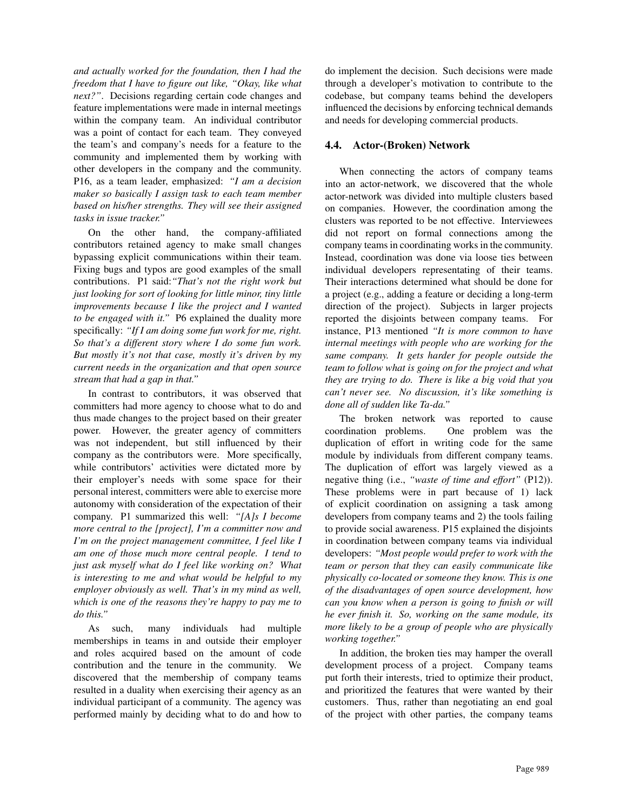*and actually worked for the foundation, then I had the freedom that I have to figure out like, "Okay, like what next?"*. Decisions regarding certain code changes and feature implementations were made in internal meetings within the company team. An individual contributor was a point of contact for each team. They conveyed the team's and company's needs for a feature to the community and implemented them by working with other developers in the company and the community. P16, as a team leader, emphasized: *"I am a decision maker so basically I assign task to each team member based on his/her strengths. They will see their assigned tasks in issue tracker."*

On the other hand, the company-affiliated contributors retained agency to make small changes bypassing explicit communications within their team. Fixing bugs and typos are good examples of the small contributions. P1 said:*"That's not the right work but just looking for sort of looking for little minor, tiny little improvements because I like the project and I wanted to be engaged with it."* P6 explained the duality more specifically: *"If I am doing some fun work for me, right. So that's a different story where I do some fun work. But mostly it's not that case, mostly it's driven by my current needs in the organization and that open source stream that had a gap in that."*

In contrast to contributors, it was observed that committers had more agency to choose what to do and thus made changes to the project based on their greater power. However, the greater agency of committers was not independent, but still influenced by their company as the contributors were. More specifically, while contributors' activities were dictated more by their employer's needs with some space for their personal interest, committers were able to exercise more autonomy with consideration of the expectation of their company. P1 summarized this well: *"[A]s I become more central to the [project], I'm a committer now and I'm on the project management committee, I feel like I am one of those much more central people. I tend to just ask myself what do I feel like working on? What is interesting to me and what would be helpful to my employer obviously as well. That's in my mind as well, which is one of the reasons they're happy to pay me to do this."*

As such, many individuals had multiple memberships in teams in and outside their employer and roles acquired based on the amount of code contribution and the tenure in the community. We discovered that the membership of company teams resulted in a duality when exercising their agency as an individual participant of a community. The agency was performed mainly by deciding what to do and how to

do implement the decision. Such decisions were made through a developer's motivation to contribute to the codebase, but company teams behind the developers influenced the decisions by enforcing technical demands and needs for developing commercial products.

## 4.4. Actor-(Broken) Network

When connecting the actors of company teams into an actor-network, we discovered that the whole actor-network was divided into multiple clusters based on companies. However, the coordination among the clusters was reported to be not effective. Interviewees did not report on formal connections among the company teams in coordinating works in the community. Instead, coordination was done via loose ties between individual developers representating of their teams. Their interactions determined what should be done for a project (e.g., adding a feature or deciding a long-term direction of the project). Subjects in larger projects reported the disjoints between company teams. For instance, P13 mentioned *"It is more common to have internal meetings with people who are working for the same company. It gets harder for people outside the team to follow what is going on for the project and what they are trying to do. There is like a big void that you can't never see. No discussion, it's like something is done all of sudden like Ta-da."*

The broken network was reported to cause coordination problems. One problem was the duplication of effort in writing code for the same module by individuals from different company teams. The duplication of effort was largely viewed as a negative thing (i.e., *"waste of time and effort"* (P12)). These problems were in part because of 1) lack of explicit coordination on assigning a task among developers from company teams and 2) the tools failing to provide social awareness. P15 explained the disjoints in coordination between company teams via individual developers: *"Most people would prefer to work with the team or person that they can easily communicate like physically co-located or someone they know. This is one of the disadvantages of open source development, how can you know when a person is going to finish or will he ever finish it. So, working on the same module, its more likely to be a group of people who are physically working together."*

In addition, the broken ties may hamper the overall development process of a project. Company teams put forth their interests, tried to optimize their product, and prioritized the features that were wanted by their customers. Thus, rather than negotiating an end goal of the project with other parties, the company teams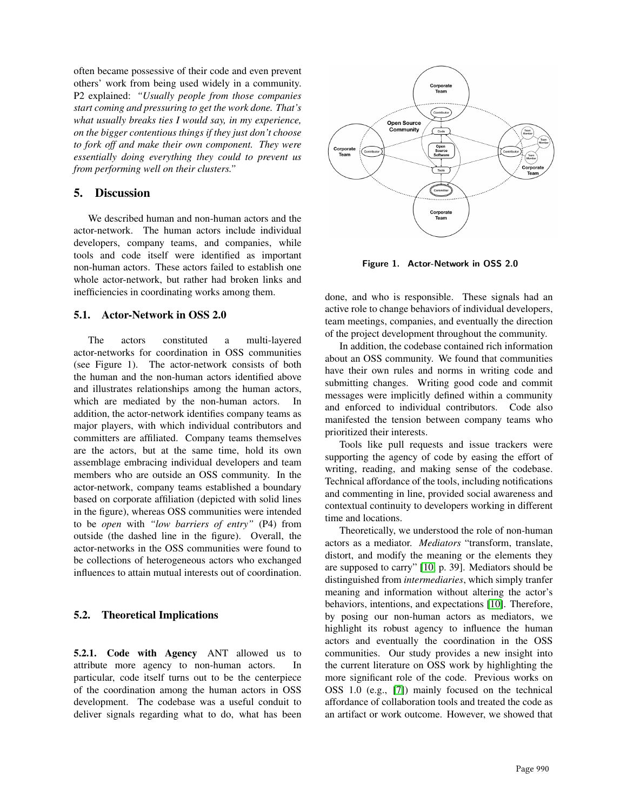often became possessive of their code and even prevent others' work from being used widely in a community. P2 explained: *"Usually people from those companies start coming and pressuring to get the work done. That's what usually breaks ties I would say, in my experience, on the bigger contentious things if they just don't choose to fork off and make their own component. They were essentially doing everything they could to prevent us from performing well on their clusters."*

# 5. Discussion

We described human and non-human actors and the actor-network. The human actors include individual developers, company teams, and companies, while tools and code itself were identified as important non-human actors. These actors failed to establish one whole actor-network, but rather had broken links and inefficiencies in coordinating works among them.

### 5.1. Actor-Network in OSS 2.0

The actors constituted a multi-layered actor-networks for coordination in OSS communities (see Figure 1). The actor-network consists of both the human and the non-human actors identified above and illustrates relationships among the human actors, which are mediated by the non-human actors. In addition, the actor-network identifies company teams as major players, with which individual contributors and committers are affiliated. Company teams themselves are the actors, but at the same time, hold its own assemblage embracing individual developers and team members who are outside an OSS community. In the actor-network, company teams established a boundary based on corporate affiliation (depicted with solid lines in the figure), whereas OSS communities were intended to be *open* with *"low barriers of entry"* (P4) from outside (the dashed line in the figure). Overall, the actor-networks in the OSS communities were found to be collections of heterogeneous actors who exchanged influences to attain mutual interests out of coordination.

## 5.2. Theoretical Implications

5.2.1. Code with Agency ANT allowed us to attribute more agency to non-human actors. In particular, code itself turns out to be the centerpiece of the coordination among the human actors in OSS development. The codebase was a useful conduit to deliver signals regarding what to do, what has been



Figure 1. Actor-Network in OSS 2.0

done, and who is responsible. These signals had an active role to change behaviors of individual developers, team meetings, companies, and eventually the direction of the project development throughout the community.

In addition, the codebase contained rich information about an OSS community. We found that communities have their own rules and norms in writing code and submitting changes. Writing good code and commit messages were implicitly defined within a community and enforced to individual contributors. Code also manifested the tension between company teams who prioritized their interests.

Tools like pull requests and issue trackers were supporting the agency of code by easing the effort of writing, reading, and making sense of the codebase. Technical affordance of the tools, including notifications and commenting in line, provided social awareness and contextual continuity to developers working in different time and locations.

Theoretically, we understood the role of non-human actors as a mediator. *Mediators* "transform, translate, distort, and modify the meaning or the elements they are supposed to carry" [\[10,](#page-9-9) p. 39]. Mediators should be distinguished from *intermediaries*, which simply tranfer meaning and information without altering the actor's behaviors, intentions, and expectations [\[10\]](#page-9-9). Therefore, by posing our non-human actors as mediators, we highlight its robust agency to influence the human actors and eventually the coordination in the OSS communities. Our study provides a new insight into the current literature on OSS work by highlighting the more significant role of the code. Previous works on OSS 1.0 (e.g., [\[7\]](#page-9-6)) mainly focused on the technical affordance of collaboration tools and treated the code as an artifact or work outcome. However, we showed that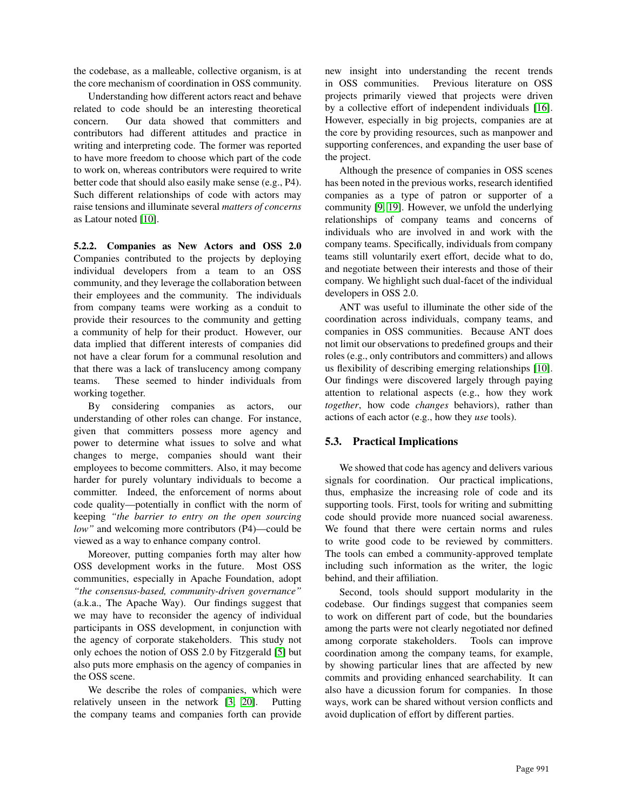the codebase, as a malleable, collective organism, is at the core mechanism of coordination in OSS community.

Understanding how different actors react and behave related to code should be an interesting theoretical concern. Our data showed that committers and contributors had different attitudes and practice in writing and interpreting code. The former was reported to have more freedom to choose which part of the code to work on, whereas contributors were required to write better code that should also easily make sense (e.g., P4). Such different relationships of code with actors may raise tensions and illuminate several *matters of concerns* as Latour noted [\[10\]](#page-9-9).

5.2.2. Companies as New Actors and OSS 2.0 Companies contributed to the projects by deploying individual developers from a team to an OSS community, and they leverage the collaboration between their employees and the community. The individuals from company teams were working as a conduit to provide their resources to the community and getting a community of help for their product. However, our data implied that different interests of companies did not have a clear forum for a communal resolution and that there was a lack of translucency among company teams. These seemed to hinder individuals from working together.

By considering companies as actors, our understanding of other roles can change. For instance, given that committers possess more agency and power to determine what issues to solve and what changes to merge, companies should want their employees to become committers. Also, it may become harder for purely voluntary individuals to become a committer. Indeed, the enforcement of norms about code quality—potentially in conflict with the norm of keeping *"the barrier to entry on the open sourcing low"* and welcoming more contributors (P4)—could be viewed as a way to enhance company control.

Moreover, putting companies forth may alter how OSS development works in the future. Most OSS communities, especially in Apache Foundation, adopt *"the consensus-based, community-driven governance"* (a.k.a., The Apache Way). Our findings suggest that we may have to reconsider the agency of individual participants in OSS development, in conjunction with the agency of corporate stakeholders. This study not only echoes the notion of OSS 2.0 by Fitzgerald [\[5\]](#page-9-4) but also puts more emphasis on the agency of companies in the OSS scene.

We describe the roles of companies, which were relatively unseen in the network [\[3,](#page-9-2) [20\]](#page-9-19). Putting the company teams and companies forth can provide new insight into understanding the recent trends in OSS communities. Previous literature on OSS projects primarily viewed that projects were driven by a collective effort of independent individuals [\[16\]](#page-9-15). However, especially in big projects, companies are at the core by providing resources, such as manpower and supporting conferences, and expanding the user base of the project.

Although the presence of companies in OSS scenes has been noted in the previous works, research identified companies as a type of patron or supporter of a community [\[9,](#page-9-8) [19\]](#page-9-18). However, we unfold the underlying relationships of company teams and concerns of individuals who are involved in and work with the company teams. Specifically, individuals from company teams still voluntarily exert effort, decide what to do, and negotiate between their interests and those of their company. We highlight such dual-facet of the individual developers in OSS 2.0.

ANT was useful to illuminate the other side of the coordination across individuals, company teams, and companies in OSS communities. Because ANT does not limit our observations to predefined groups and their roles (e.g., only contributors and committers) and allows us flexibility of describing emerging relationships [\[10\]](#page-9-9). Our findings were discovered largely through paying attention to relational aspects (e.g., how they work *together*, how code *changes* behaviors), rather than actions of each actor (e.g., how they *use* tools).

## 5.3. Practical Implications

We showed that code has agency and delivers various signals for coordination. Our practical implications, thus, emphasize the increasing role of code and its supporting tools. First, tools for writing and submitting code should provide more nuanced social awareness. We found that there were certain norms and rules to write good code to be reviewed by committers. The tools can embed a community-approved template including such information as the writer, the logic behind, and their affiliation.

Second, tools should support modularity in the codebase. Our findings suggest that companies seem to work on different part of code, but the boundaries among the parts were not clearly negotiated nor defined among corporate stakeholders. Tools can improve coordination among the company teams, for example, by showing particular lines that are affected by new commits and providing enhanced searchability. It can also have a dicussion forum for companies. In those ways, work can be shared without version conflicts and avoid duplication of effort by different parties.